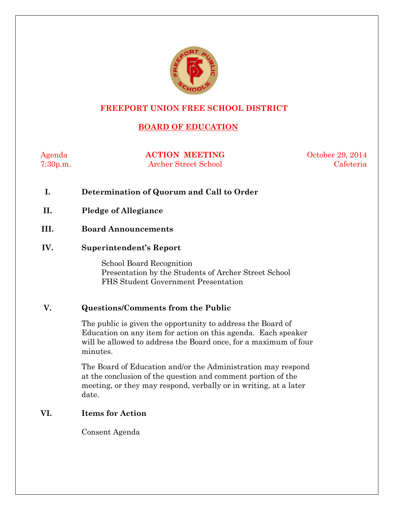

## **FREEPORT UNION FREE SCHOOL DISTRICT**

## **BOARD OF EDUCATION**

Agenda **ACTION MEETING** October 29, 2014 7:30p.m. Archer Street School Cafeteria

- **I. Determination of Quorum and Call to Order**
- **II. Pledge of Allegiance**
- **III. Board Announcements**

#### **IV. Superintendent's Report**

School Board Recognition Presentation by the Students of Archer Street School FHS Student Government Presentation

#### **V. Questions/Comments from the Public**

The public is given the opportunity to address the Board of Education on any item for action on this agenda. Each speaker will be allowed to address the Board once, for a maximum of four minutes.

The Board of Education and/or the Administration may respond at the conclusion of the question and comment portion of the meeting, or they may respond, verbally or in writing, at a later date.

#### **VI. Items for Action**

Consent Agenda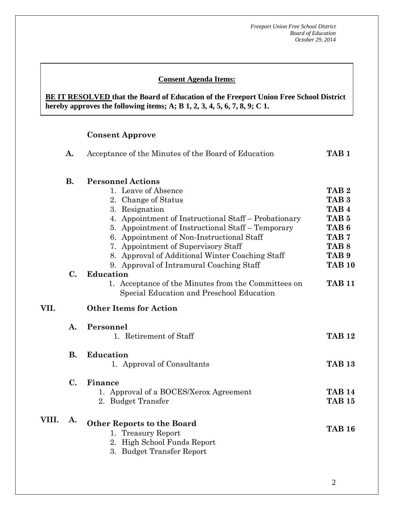## **Consent Agenda Items:**

**BE IT RESOLVED that the Board of Education of the Freeport Union Free School District hereby approves the following items; A; B 1, 2, 3, 4, 5, 6, 7, 8, 9; C 1.**

#### **Consent Approve**

|       | A.             | Acceptance of the Minutes of the Board of Education                                              | TAB <sub>1</sub> |
|-------|----------------|--------------------------------------------------------------------------------------------------|------------------|
|       | <b>B.</b>      | <b>Personnel Actions</b>                                                                         |                  |
|       |                | 1. Leave of Absence                                                                              | TAB <sub>2</sub> |
|       |                | 2. Change of Status                                                                              | TAB <sub>3</sub> |
|       |                | 3. Resignation                                                                                   | TAB <sub>4</sub> |
|       |                | 4. Appointment of Instructional Staff – Probationary                                             | TAB <sub>5</sub> |
|       |                | 5. Appointment of Instructional Staff – Temporary                                                | TAB <sub>6</sub> |
|       |                | 6. Appointment of Non-Instructional Staff                                                        | TAB <sub>7</sub> |
|       |                | 7. Appointment of Supervisory Staff                                                              | TAB <sub>8</sub> |
|       |                | 8. Approval of Additional Winter Coaching Staff                                                  | TAB <sub>9</sub> |
|       |                | 9. Approval of Intramural Coaching Staff                                                         | <b>TAB 10</b>    |
|       | $\mathbf{C}$ . | <b>Education</b>                                                                                 |                  |
|       |                | 1. Acceptance of the Minutes from the Committees on<br>Special Education and Preschool Education | <b>TAB 11</b>    |
| VII.  |                | <b>Other Items for Action</b>                                                                    |                  |
|       | $\mathbf{A}$ . | Personnel                                                                                        |                  |
|       |                | 1. Retirement of Staff                                                                           | <b>TAB 12</b>    |
|       |                |                                                                                                  |                  |
|       | <b>B.</b>      | <b>Education</b>                                                                                 |                  |
|       |                | 1. Approval of Consultants                                                                       | <b>TAB 13</b>    |
|       | $\mathbf{C}$ . | Finance                                                                                          |                  |
|       |                | 1. Approval of a BOCES/Xerox Agreement                                                           | <b>TAB 14</b>    |
|       |                | 2. Budget Transfer                                                                               | <b>TAB 15</b>    |
|       |                |                                                                                                  |                  |
| VIII. | A.             | <b>Other Reports to the Board</b>                                                                |                  |
|       |                | 1. Treasury Report                                                                               | <b>TAB 16</b>    |
|       |                | 2. High School Funds Report                                                                      |                  |
|       |                | 3. Budget Transfer Report                                                                        |                  |
|       |                |                                                                                                  |                  |
|       |                |                                                                                                  |                  |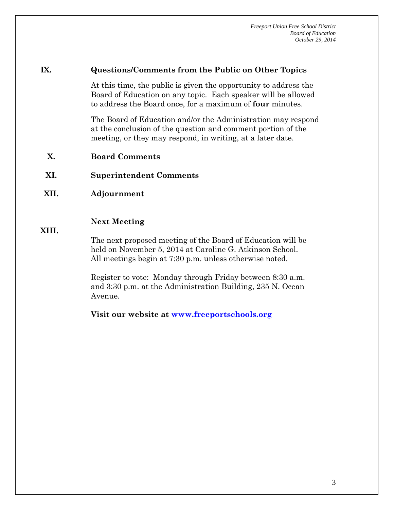#### **IX. Questions/Comments from the Public on Other Topics**

At this time, the public is given the opportunity to address the Board of Education on any topic. Each speaker will be allowed to address the Board once, for a maximum of **four** minutes.

The Board of Education and/or the Administration may respond at the conclusion of the question and comment portion of the meeting, or they may respond, in writing, at a later date.

- **X. Board Comments**
- **XI. Superintendent Comments**
- **XII. Adjournment**

#### **Next Meeting**

#### **XIII.**

The next proposed meeting of the Board of Education will be held on November 5, 2014 at Caroline G. Atkinson School. All meetings begin at 7:30 p.m. unless otherwise noted.

Register to vote: Monday through Friday between 8:30 a.m. and 3:30 p.m. at the Administration Building, 235 N. Ocean Avenue.

**Visit our website at [www.freeportschools.org](http://www.freeportschools.org/)**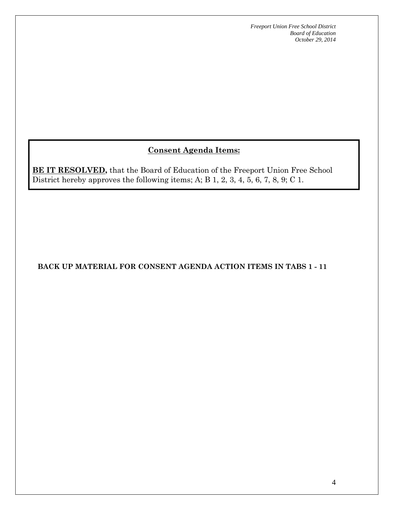# **Consent Agenda Items:**

**BE IT RESOLVED,** that the Board of Education of the Freeport Union Free School District hereby approves the following items; A; B 1, 2, 3, 4, 5, 6, 7, 8, 9; C 1.

#### **BACK UP MATERIAL FOR CONSENT AGENDA ACTION ITEMS IN TABS 1 - 11**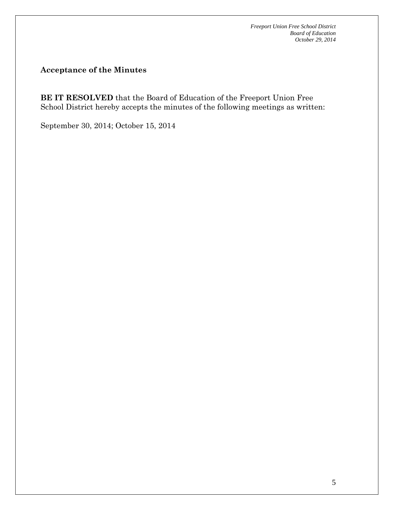**Acceptance of the Minutes**

**BE IT RESOLVED** that the Board of Education of the Freeport Union Free School District hereby accepts the minutes of the following meetings as written:

September 30, 2014; October 15, 2014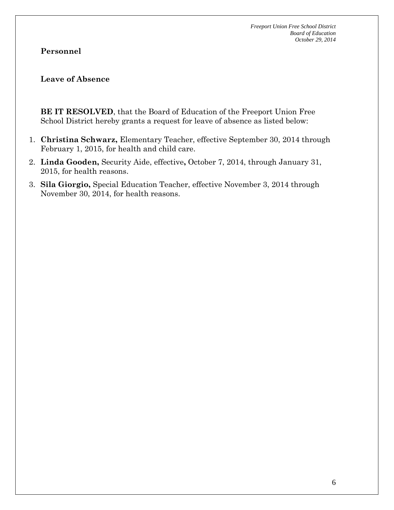## **Personnel**

#### **Leave of Absence**

**BE IT RESOLVED**, that the Board of Education of the Freeport Union Free School District hereby grants a request for leave of absence as listed below:

- 1. **Christina Schwarz,** Elementary Teacher, effective September 30, 2014 through February 1, 2015, for health and child care.
- 2. **Linda Gooden,** Security Aide, effective**,** October 7, 2014, through January 31, 2015, for health reasons.
- 3. **Sila Giorgio,** Special Education Teacher, effective November 3, 2014 through November 30, 2014, for health reasons.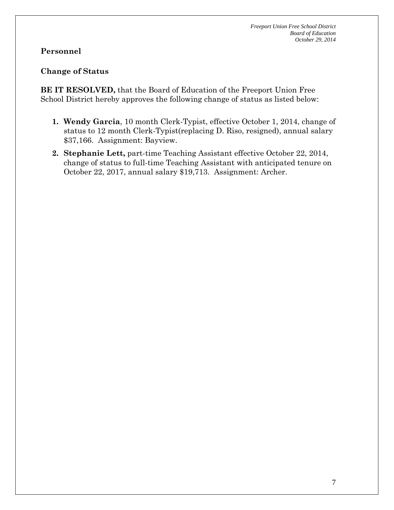## **Personnel**

## **Change of Status**

**BE IT RESOLVED,** that the Board of Education of the Freeport Union Free School District hereby approves the following change of status as listed below:

- **1. Wendy Garcia**, 10 month Clerk-Typist, effective October 1, 2014, change of status to 12 month Clerk-Typist(replacing D. Riso, resigned), annual salary \$37,166. Assignment: Bayview.
- **2. Stephanie Lett,** part-time Teaching Assistant effective October 22, 2014, change of status to full-time Teaching Assistant with anticipated tenure on October 22, 2017, annual salary \$19,713. Assignment: Archer.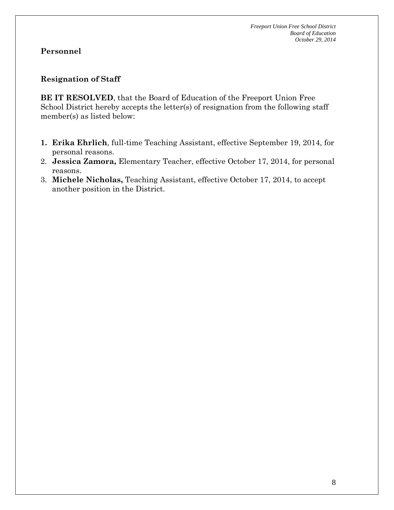## **Resignation of Staff**

**BE IT RESOLVED**, that the Board of Education of the Freeport Union Free School District hereby accepts the letter(s) of resignation from the following staff member(s) as listed below:

- **1. Erika Ehrlich**, full-time Teaching Assistant, effective September 19, 2014, for personal reasons.
- 2. **Jessica Zamora,** Elementary Teacher, effective October 17, 2014, for personal reasons.
- 3. **Michele Nicholas,** Teaching Assistant, effective October 17, 2014, to accept another position in the District.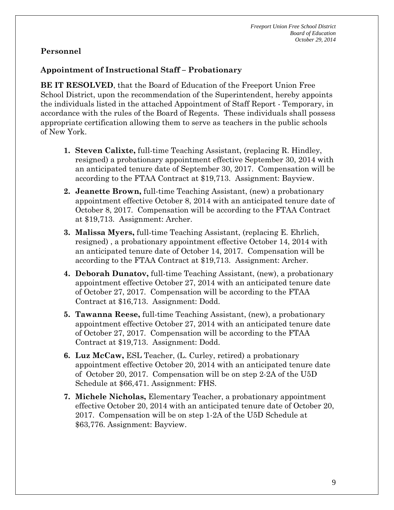## **Appointment of Instructional Staff – Probationary**

**BE IT RESOLVED**, that the Board of Education of the Freeport Union Free School District, upon the recommendation of the Superintendent, hereby appoints the individuals listed in the attached Appointment of Staff Report - Temporary, in accordance with the rules of the Board of Regents. These individuals shall possess appropriate certification allowing them to serve as teachers in the public schools of New York.

- **1. Steven Calixte,** full-time Teaching Assistant, (replacing R. Hindley, resigned) a probationary appointment effective September 30, 2014 with an anticipated tenure date of September 30, 2017. Compensation will be according to the FTAA Contract at \$19,713. Assignment: Bayview.
- **2. Jeanette Brown,** full-time Teaching Assistant, (new) a probationary appointment effective October 8, 2014 with an anticipated tenure date of October 8, 2017. Compensation will be according to the FTAA Contract at \$19,713. Assignment: Archer.
- **3. Malissa Myers,** full-time Teaching Assistant, (replacing E. Ehrlich, resigned) , a probationary appointment effective October 14, 2014 with an anticipated tenure date of October 14, 2017. Compensation will be according to the FTAA Contract at \$19,713. Assignment: Archer.
- **4. Deborah Dunatov,** full-time Teaching Assistant, (new), a probationary appointment effective October 27, 2014 with an anticipated tenure date of October 27, 2017. Compensation will be according to the FTAA Contract at \$16,713. Assignment: Dodd.
- **5. Tawanna Reese,** full-time Teaching Assistant, (new), a probationary appointment effective October 27, 2014 with an anticipated tenure date of October 27, 2017. Compensation will be according to the FTAA Contract at \$19,713. Assignment: Dodd.
- **6. Luz McCaw,** ESL Teacher, (L. Curley, retired) a probationary appointment effective October 20, 2014 with an anticipated tenure date of October 20, 2017. Compensation will be on step 2-2A of the U5D Schedule at \$66,471. Assignment: FHS.
- **7. Michele Nicholas,** Elementary Teacher, a probationary appointment effective October 20, 2014 with an anticipated tenure date of October 20, 2017. Compensation will be on step 1-2A of the U5D Schedule at \$63,776. Assignment: Bayview.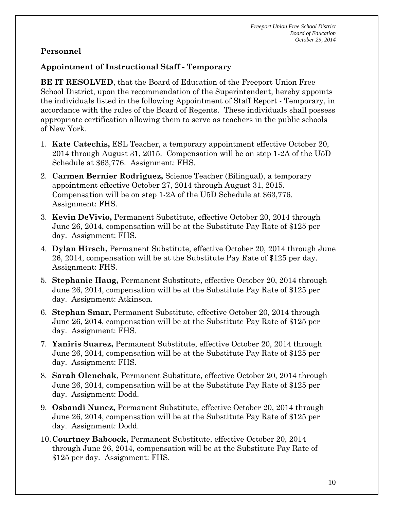## **Appointment of Instructional Staff - Temporary**

**BE IT RESOLVED**, that the Board of Education of the Freeport Union Free School District, upon the recommendation of the Superintendent, hereby appoints the individuals listed in the following Appointment of Staff Report - Temporary, in accordance with the rules of the Board of Regents. These individuals shall possess appropriate certification allowing them to serve as teachers in the public schools of New York.

- 1. **Kate Catechis,** ESL Teacher, a temporary appointment effective October 20, 2014 through August 31, 2015. Compensation will be on step 1-2A of the U5D Schedule at \$63,776. Assignment: FHS.
- 2. **Carmen Bernier Rodriguez,** Science Teacher (Bilingual), a temporary appointment effective October 27, 2014 through August 31, 2015. Compensation will be on step 1-2A of the U5D Schedule at \$63,776. Assignment: FHS.
- 3. **Kevin DeVivio,** Permanent Substitute, effective October 20, 2014 through June 26, 2014, compensation will be at the Substitute Pay Rate of \$125 per day. Assignment: FHS.
- 4. **Dylan Hirsch,** Permanent Substitute, effective October 20, 2014 through June 26, 2014, compensation will be at the Substitute Pay Rate of \$125 per day. Assignment: FHS.
- 5. **Stephanie Haug,** Permanent Substitute, effective October 20, 2014 through June 26, 2014, compensation will be at the Substitute Pay Rate of \$125 per day. Assignment: Atkinson.
- 6. **Stephan Smar,** Permanent Substitute, effective October 20, 2014 through June 26, 2014, compensation will be at the Substitute Pay Rate of \$125 per day. Assignment: FHS.
- 7. **Yaniris Suarez,** Permanent Substitute, effective October 20, 2014 through June 26, 2014, compensation will be at the Substitute Pay Rate of \$125 per day. Assignment: FHS.
- 8. **Sarah Olenchak,** Permanent Substitute, effective October 20, 2014 through June 26, 2014, compensation will be at the Substitute Pay Rate of \$125 per day. Assignment: Dodd.
- 9. **Osbandi Nunez,** Permanent Substitute, effective October 20, 2014 through June 26, 2014, compensation will be at the Substitute Pay Rate of \$125 per day. Assignment: Dodd.
- 10.**Courtney Babcock,** Permanent Substitute, effective October 20, 2014 through June 26, 2014, compensation will be at the Substitute Pay Rate of \$125 per day. Assignment: FHS.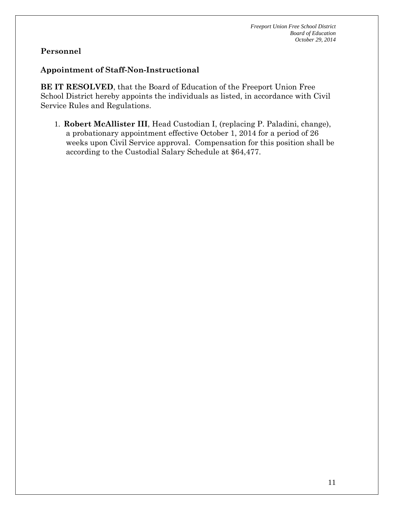#### **Appointment of Staff-Non-Instructional**

**BE IT RESOLVED**, that the Board of Education of the Freeport Union Free School District hereby appoints the individuals as listed, in accordance with Civil Service Rules and Regulations.

1. **Robert McAllister III**, Head Custodian I, (replacing P. Paladini, change), a probationary appointment effective October 1, 2014 for a period of 26 weeks upon Civil Service approval. Compensation for this position shall be according to the Custodial Salary Schedule at \$64,477.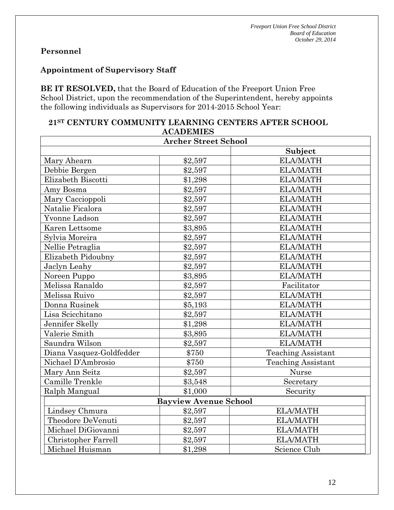#### **Appointment of Supervisory Staff**

**BE IT RESOLVED,** that the Board of Education of the Freeport Union Free School District, upon the recommendation of the Superintendent, hereby appoints the following individuals as Supervisors for 2014-2015 School Year:

| <b>ACADEMIES</b>             |         |                           |  |  |  |
|------------------------------|---------|---------------------------|--|--|--|
| <b>Archer Street School</b>  |         |                           |  |  |  |
| Subject                      |         |                           |  |  |  |
| Mary Ahearn                  | \$2,597 | <b>ELA/MATH</b>           |  |  |  |
| Debbie Bergen                | \$2,597 | <b>ELA/MATH</b>           |  |  |  |
| Elizabeth Biscotti           | \$1,298 | <b>ELA/MATH</b>           |  |  |  |
| Amy Bosma                    | \$2,597 | <b>ELA/MATH</b>           |  |  |  |
| Mary Caccioppoli             | \$2,597 | <b>ELA/MATH</b>           |  |  |  |
| Natalie Ficalora             | \$2,597 | <b>ELA/MATH</b>           |  |  |  |
| Yvonne Ladson                | \$2,597 | <b>ELA/MATH</b>           |  |  |  |
| Karen Lettsome               | \$3,895 | <b>ELA/MATH</b>           |  |  |  |
| Sylvia Moreira               | \$2,597 | <b>ELA/MATH</b>           |  |  |  |
| Nellie Petraglia             | \$2,597 | <b>ELA/MATH</b>           |  |  |  |
| Elizabeth Pidoubny           | \$2,597 | <b>ELA/MATH</b>           |  |  |  |
| Jaclyn Leahy                 | \$2,597 | <b>ELA/MATH</b>           |  |  |  |
| Noreen Puppo                 | \$3,895 | <b>ELA/MATH</b>           |  |  |  |
| Melissa Ranaldo              | \$2,597 | Facilitator               |  |  |  |
| Melissa Ruivo                | \$2,597 | <b>ELA/MATH</b>           |  |  |  |
| Donna Rusinek                | \$5,193 | <b>ELA/MATH</b>           |  |  |  |
| Lisa Scicchitano             | \$2,597 | <b>ELA/MATH</b>           |  |  |  |
| Jennifer Skelly              | \$1,298 | <b>ELA/MATH</b>           |  |  |  |
| Valerie Smith                | \$3,895 | <b>ELA/MATH</b>           |  |  |  |
| Saundra Wilson               | \$2,597 | <b>ELA/MATH</b>           |  |  |  |
| Diana Vasquez-Goldfedder     | \$750   | <b>Teaching Assistant</b> |  |  |  |
| Nichael D'Ambrosio           | \$750   | <b>Teaching Assistant</b> |  |  |  |
| Mary Ann Seitz               | \$2,597 | Nurse                     |  |  |  |
| Camille Trenkle              | \$3,548 | Secretary                 |  |  |  |
| Ralph Mangual                | \$1,000 | Security                  |  |  |  |
| <b>Bayview Avenue School</b> |         |                           |  |  |  |
| Lindsey Chmura               | \$2,597 | <b>ELA/MATH</b>           |  |  |  |
| Theodore DeVenuti            | \$2,597 | <b>ELA/MATH</b>           |  |  |  |
| Michael DiGiovanni           | \$2,597 | <b>ELA/MATH</b>           |  |  |  |
| Christopher Farrell          | \$2,597 | <b>ELA/MATH</b>           |  |  |  |
| Michael Huisman              | \$1,298 | Science Club              |  |  |  |

# **21ST CENTURY COMMUNITY LEARNING CENTERS AFTER SCHOOL**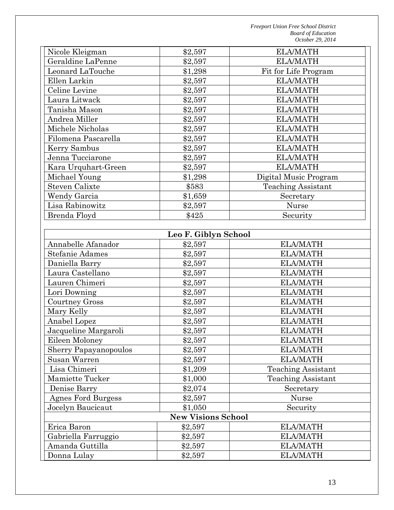| Nicole Kleigman       | \$2,597 | <b>ELA/MATH</b>           |
|-----------------------|---------|---------------------------|
| Geraldine LaPenne     | \$2,597 | <b>ELA/MATH</b>           |
| Leonard LaTouche      | \$1,298 | Fit for Life Program      |
| Ellen Larkin          | \$2,597 | <b>ELA/MATH</b>           |
| Celine Levine         | \$2,597 | <b>ELA/MATH</b>           |
| Laura Litwack         | \$2,597 | <b>ELA/MATH</b>           |
| Tanisha Mason         | \$2,597 | <b>ELA/MATH</b>           |
| Andrea Miller         | \$2,597 | <b>ELA/MATH</b>           |
| Michele Nicholas      | \$2,597 | <b>ELA/MATH</b>           |
| Filomena Pascarella   | \$2,597 | <b>ELA/MATH</b>           |
| Kerry Sambus          | \$2,597 | <b>ELA/MATH</b>           |
| Jenna Tucciarone      | \$2,597 | <b>ELA/MATH</b>           |
| Kara Urquhart-Green   | \$2,597 | <b>ELA/MATH</b>           |
| Michael Young         | \$1,298 | Digital Music Program     |
| <b>Steven Calixte</b> | \$583   | <b>Teaching Assistant</b> |
| Wendy Garcia          | \$1,659 | Secretary                 |
| Lisa Rabinowitz       | \$2,597 | Nurse                     |
| Brenda Floyd          | \$425   | Security                  |

| Leo F. Giblyn School         |         |                           |  |  |  |
|------------------------------|---------|---------------------------|--|--|--|
| Annabelle Afanador           | \$2,597 | <b>ELA/MATH</b>           |  |  |  |
| Stefanie Adames              | \$2,597 | <b>ELA/MATH</b>           |  |  |  |
| Daniella Barry               | \$2,597 | <b>ELA/MATH</b>           |  |  |  |
| Laura Castellano             | \$2,597 | <b>ELA/MATH</b>           |  |  |  |
| Lauren Chimeri               | \$2,597 | <b>ELA/MATH</b>           |  |  |  |
| Lori Downing                 | \$2,597 | <b>ELA/MATH</b>           |  |  |  |
| <b>Courtney Gross</b>        | \$2,597 | <b>ELA/MATH</b>           |  |  |  |
| Mary Kelly                   | \$2,597 | <b>ELA/MATH</b>           |  |  |  |
| Anabel Lopez                 | \$2,597 | <b>ELA/MATH</b>           |  |  |  |
| Jacqueline Margaroli         | \$2,597 | <b>ELA/MATH</b>           |  |  |  |
| Eileen Moloney               | \$2,597 | <b>ELA/MATH</b>           |  |  |  |
| <b>Sherry Papayanopoulos</b> | \$2,597 | <b>ELA/MATH</b>           |  |  |  |
| Susan Warren                 | \$2,597 | <b>ELA/MATH</b>           |  |  |  |
| Lisa Chimeri                 | \$1,209 | <b>Teaching Assistant</b> |  |  |  |
| <b>Mamiette Tucker</b>       | \$1,000 | <b>Teaching Assistant</b> |  |  |  |
| Denise Barry                 | \$2,074 | Secretary                 |  |  |  |
| Agnes Ford Burgess           | \$2,597 | <b>Nurse</b>              |  |  |  |
| Jocelyn Baucicaut            | \$1,050 | Security                  |  |  |  |
| <b>New Visions School</b>    |         |                           |  |  |  |
| Erica Baron                  | \$2,597 | <b>ELA/MATH</b>           |  |  |  |
| Gabriella Farruggio          | \$2,597 | <b>ELA/MATH</b>           |  |  |  |
| Amanda Guttilla              | \$2,597 | <b>ELA/MATH</b>           |  |  |  |
| Donna Lulay                  | \$2,597 | <b>ELA/MATH</b>           |  |  |  |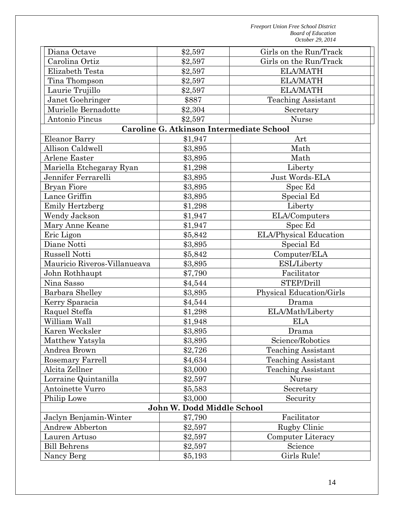| Diana Octave                 | \$2,597                                  | Girls on the Run/Track    |  |  |
|------------------------------|------------------------------------------|---------------------------|--|--|
| Carolina Ortiz               | \$2,597                                  | Girls on the Run/Track    |  |  |
| Elizabeth Testa              | \$2,597                                  | <b>ELA/MATH</b>           |  |  |
| Tina Thompson                | \$2,597                                  | <b>ELA/MATH</b>           |  |  |
| Laurie Trujillo              | \$2,597                                  | <b>ELA/MATH</b>           |  |  |
| Janet Goehringer             | \$887                                    | <b>Teaching Assistant</b> |  |  |
| Murielle Bernadotte          | \$2,304                                  | Secretary                 |  |  |
| Antonio Pincus               | \$2,597                                  | Nurse                     |  |  |
|                              | Caroline G. Atkinson Intermediate School |                           |  |  |
| Eleanor Barry                | \$1,947                                  | Art                       |  |  |
| Allison Caldwell             | \$3,895                                  | Math                      |  |  |
| Arlene Easter                | \$3,895                                  | Math                      |  |  |
| Mariella Etchegaray Ryan     | \$1,298                                  | Liberty                   |  |  |
| Jennifer Ferrarelli          | \$3,895                                  | Just Words-ELA            |  |  |
| <b>Bryan Fiore</b>           | \$3,895                                  | Spec Ed                   |  |  |
| Lance Griffin                | \$3,895                                  | Special Ed                |  |  |
| <b>Emily Hertzberg</b>       | \$1,298                                  | Liberty                   |  |  |
| Wendy Jackson                | \$1,947                                  | ELA/Computers             |  |  |
| Mary Anne Keane              | \$1,947                                  | Spec Ed                   |  |  |
| Eric Ligon                   | \$5,842                                  | ELA/Physical Education    |  |  |
| Diane Notti                  | \$3,895                                  | Special Ed                |  |  |
| <b>Russell Notti</b>         | \$5,842                                  | Computer/ELA              |  |  |
| Mauricio Riveros-Villanueava | \$3,895                                  | <b>ESL/Liberty</b>        |  |  |
| John Rothhaupt               | \$7,790                                  | Facilitator               |  |  |
| Nina Sasso                   | \$4,544                                  | STEP/Drill                |  |  |
| Barbara Shelley              | \$3,895                                  | Physical Education/Girls  |  |  |
| Kerry Sparacia               | \$4,544                                  | Drama                     |  |  |
| Raquel Steffa                | \$1,298                                  | ELA/Math/Liberty          |  |  |
| William Wall                 | \$1,948                                  | <b>ELA</b>                |  |  |
| Karen Wecksler               | \$3,895                                  | Drama                     |  |  |
| Matthew Yatsyla              | \$3,895                                  | Science/Robotics          |  |  |
| Andrea Brown                 | \$2,726                                  | <b>Teaching Assistant</b> |  |  |
| Rosemary Farrell             | \$4,634                                  | <b>Teaching Assistant</b> |  |  |
| Alcita Zellner               | \$3,000                                  | <b>Teaching Assistant</b> |  |  |
| Lorraine Quintanilla         | \$2,597                                  | Nurse                     |  |  |
| Antoinette Vurro             | \$5,583                                  | Secretary                 |  |  |
| Philip Lowe                  | \$3,000                                  | Security                  |  |  |
| John W. Dodd Middle School   |                                          |                           |  |  |
| Jaclyn Benjamin-Winter       | \$7,790                                  | Facilitator               |  |  |
| Andrew Abberton              | \$2,597                                  | Rugby Clinic              |  |  |
| Lauren Artuso                | \$2,597                                  | Computer Literacy         |  |  |
| <b>Bill Behrens</b>          | \$2,597                                  | Science                   |  |  |
| Nancy Berg                   | \$5,193                                  | Girls Rule!               |  |  |
|                              |                                          |                           |  |  |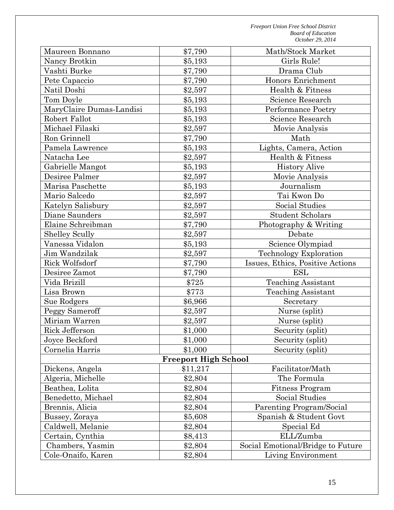| Maureen Bonnano                   | \$7,790                                 | Math/Stock Market                                  |
|-----------------------------------|-----------------------------------------|----------------------------------------------------|
| Nancy Brotkin                     | \$5,193                                 | Girls Rule!                                        |
| Vashti Burke                      | \$7,790                                 | Drama Club                                         |
| Pete Capaccio                     | \$7,790                                 | Honors Enrichment                                  |
| Natil Doshi                       | \$2,597                                 | Health & Fitness                                   |
| Tom Doyle                         | \$5,193                                 | Science Research                                   |
| MaryClaire Dumas-Landisi          | \$5,193                                 | Performance Poetry                                 |
| Robert Fallot                     | \$5,193                                 | Science Research                                   |
| Michael Filaski                   | \$2,597                                 | Movie Analysis                                     |
| Ron Grinnell                      | \$7,790                                 | Math                                               |
| Pamela Lawrence                   | \$5,193                                 | Lights, Camera, Action                             |
| Natacha Lee                       | \$2,597                                 | Health & Fitness                                   |
| Gabrielle Mangot                  | \$5,193                                 | <b>History Alive</b>                               |
| Desiree Palmer                    | \$2,597                                 | Movie Analysis                                     |
| Marisa Paschette                  | \$5,193                                 | Journalism                                         |
| Mario Salcedo                     | \$2,597                                 | Tai Kwon Do                                        |
| Katelyn Salisbury                 | \$2,597                                 | Social Studies                                     |
| Diane Saunders                    | \$2,597                                 | <b>Student Scholars</b>                            |
| Elaine Schreibman                 | \$7,790                                 | Photography & Writing                              |
| <b>Shelley Scully</b>             | \$2,597                                 | Debate                                             |
| Vanessa Vidalon                   | \$5,193                                 | Science Olympiad                                   |
| Jim Wandzilak                     | \$2,597                                 | Technology Exploration                             |
| Rick Wolfsdorf                    | \$7,790                                 | Issues, Ethics, Positive Actions                   |
| Desiree Zamot                     | \$7,790                                 | <b>ESL</b>                                         |
| Vida Brizill                      | \$725                                   | <b>Teaching Assistant</b>                          |
| Lisa Brown                        | \$773                                   | <b>Teaching Assistant</b>                          |
| Sue Rodgers                       | \$6,966                                 |                                                    |
|                                   |                                         | Secretary                                          |
| Peggy Sameroff<br>Miriam Warren   | \$2,597<br>\$2,597                      | Nurse (split)                                      |
|                                   |                                         | Nurse (split)                                      |
| Rick Jefferson                    | \$1,000                                 | Security (split)<br>Security (split)               |
| Joyce Beckford<br>Cornelia Harris | \$1,000                                 |                                                    |
|                                   | \$1,000                                 | Security (split)                                   |
| Dickens, Angela                   | <b>Freeport High School</b><br>\$11,217 | Facilitator/Math                                   |
| Algeria, Michelle                 |                                         | The Formula                                        |
| Beathea, Lolita                   | \$2,804                                 |                                                    |
|                                   | \$2,804                                 | <b>Fitness Program</b><br>Social Studies           |
| Benedetto, Michael                | \$2,804                                 |                                                    |
| Brennis, Alicia                   | \$2,804                                 | Parenting Program/Social<br>Spanish & Student Govt |
| Bussey, Zoraya                    | \$5,608                                 |                                                    |
| Caldwell, Melanie                 | \$2,804                                 | Special Ed                                         |
| Certain, Cynthia                  | \$8,413                                 | ELL/Zumba                                          |
| Chambers, Yasmin                  | \$2,804                                 | Social Emotional/Bridge to Future                  |
| Cole-Onaifo, Karen                | \$2,804                                 | Living Environment                                 |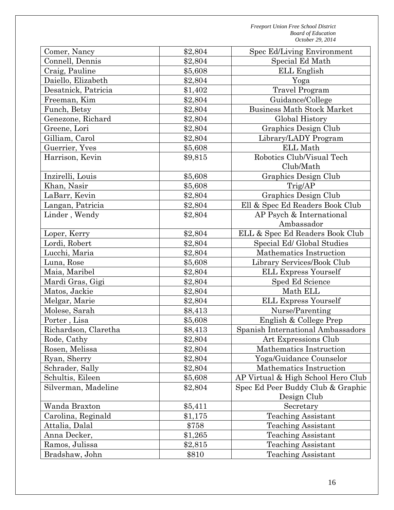| Comer, Nancy         | \$2,804 | Spec Ed/Living Environment         |  |
|----------------------|---------|------------------------------------|--|
| Connell, Dennis      | \$2,804 | Special Ed Math                    |  |
| Craig, Pauline       | \$5,608 | ELL English                        |  |
| Daiello, Elizabeth   | \$2,804 | Yoga                               |  |
| Desatnick, Patricia  | \$1,402 | <b>Travel Program</b>              |  |
| Freeman, Kim         | \$2,804 | Guidance/College                   |  |
| Funch, Betsy         | \$2,804 | <b>Business Math Stock Market</b>  |  |
| Genezone, Richard    | \$2,804 | Global History                     |  |
| Greene, Lori         | \$2,804 | Graphics Design Club               |  |
| Gilliam, Carol       | \$2,804 | Library/LADY Program               |  |
| Guerrier, Yves       | \$5,608 | <b>ELL Math</b>                    |  |
| Harrison, Kevin      | \$9,815 | Robotics Club/Visual Tech          |  |
|                      |         | Club/Math                          |  |
| Inzirelli, Louis     | \$5,608 | Graphics Design Club               |  |
| Khan, Nasir          | \$5,608 | Trig/AP                            |  |
| LaBarr, Kevin        | \$2,804 | Graphics Design Club               |  |
| Langan, Patricia     | \$2,804 | Ell & Spec Ed Readers Book Club    |  |
| Linder, Wendy        | \$2,804 | AP Psych & International           |  |
|                      |         | Ambassador                         |  |
| Loper, Kerry         | \$2,804 | ELL & Spec Ed Readers Book Club    |  |
| Lordi, Robert        | \$2,804 | Special Ed/ Global Studies         |  |
| Lucchi, Maria        | \$2,804 | Mathematics Instruction            |  |
| Luna, Rose           | \$5,608 | Library Services/Book Club         |  |
| Maia, Maribel        | \$2,804 | <b>ELL Express Yourself</b>        |  |
| Mardi Gras, Gigi     | \$2,804 | Sped Ed Science                    |  |
| Matos, Jackie        | \$2,804 | Math ELL                           |  |
| Melgar, Marie        | \$2,804 | <b>ELL Express Yourself</b>        |  |
| Molese, Sarah        | \$8,413 | Nurse/Parenting                    |  |
| Porter, Lisa         | \$5,608 | English & College Prep             |  |
| Richardson, Claretha | \$8,413 | Spanish International Ambassadors  |  |
| Rode, Cathy          | \$2,804 | Art Expressions Club               |  |
| Rosen, Melissa       | \$2,804 | Mathematics Instruction            |  |
| Ryan, Sherry         | \$2,804 | Yoga/Guidance Counselor            |  |
| Schrader, Sally      | \$2,804 | Mathematics Instruction            |  |
| Schultis, Eileen     | \$5,608 | AP Virtual & High School Hero Club |  |
| Silverman, Madeline  | \$2,804 | Spec Ed Peer Buddy Club & Graphic  |  |
|                      |         | Design Club                        |  |
| Wanda Braxton        | \$5,411 | Secretary                          |  |
| Carolina, Reginald   | \$1,175 | <b>Teaching Assistant</b>          |  |
| Attalia, Dalal       | \$758   | <b>Teaching Assistant</b>          |  |
| Anna Decker,         | \$1,265 | <b>Teaching Assistant</b>          |  |
| Ramos, Julissa       | \$2,815 | <b>Teaching Assistant</b>          |  |
| Bradshaw, John       | \$810   | <b>Teaching Assistant</b>          |  |
|                      |         |                                    |  |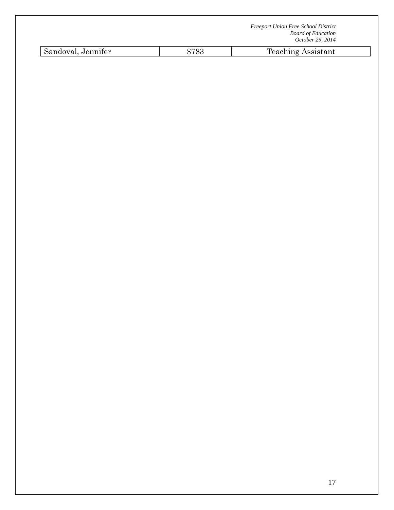| <b>Freeport Union Free School District</b> |
|--------------------------------------------|
| <b>Board of Education</b>                  |
| October 29, 2014                           |

| $\sim$ $\sim$<br>$\Gamma$ $\sim$ $\sim$ $\sim$<br>. Jennifer<br>$\sim$ ntont<br>$- - - -$<br>--<br>sistant<br>nuovai.<br>- -<br>$\sim$ $\sim$ |  |
|-----------------------------------------------------------------------------------------------------------------------------------------------|--|
|-----------------------------------------------------------------------------------------------------------------------------------------------|--|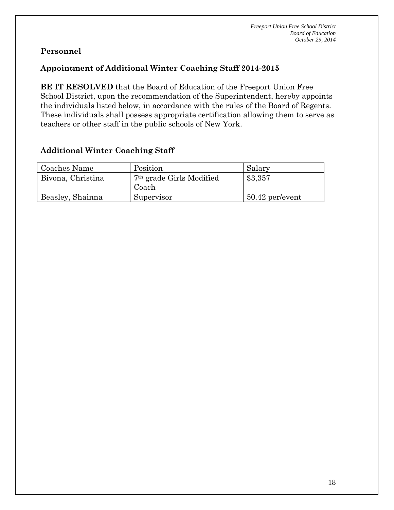## **Appointment of Additional Winter Coaching Staff 2014-2015**

**BE IT RESOLVED** that the Board of Education of the Freeport Union Free School District, upon the recommendation of the Superintendent, hereby appoints the individuals listed below, in accordance with the rules of the Board of Regents. These individuals shall possess appropriate certification allowing them to serve as teachers or other staff in the public schools of New York.

## **Additional Winter Coaching Staff**

| Coaches Name      | Position                             | Salary            |
|-------------------|--------------------------------------|-------------------|
| Bivona, Christina | 7 <sup>th</sup> grade Girls Modified | \$3,357           |
|                   | Coach                                |                   |
| Beasley, Shainna  | Supervisor                           | $50.42$ per/event |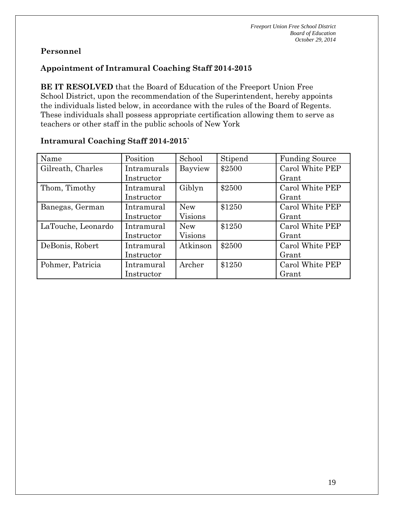# **Appointment of Intramural Coaching Staff 2014-2015**

**BE IT RESOLVED** that the Board of Education of the Freeport Union Free School District, upon the recommendation of the Superintendent, hereby appoints the individuals listed below, in accordance with the rules of the Board of Regents. These individuals shall possess appropriate certification allowing them to serve as teachers or other staff in the public schools of New York

| Name               | Position    | School         | Stipend | <b>Funding Source</b> |
|--------------------|-------------|----------------|---------|-----------------------|
| Gilreath, Charles  | Intramurals | Bayview        | \$2500  | Carol White PEP       |
|                    | Instructor  |                |         | Grant                 |
| Thom, Timothy      | Intramural  | Giblyn         | \$2500  | Carol White PEP       |
|                    | Instructor  |                |         | Grant                 |
| Banegas, German    | Intramural  | <b>New</b>     | \$1250  | Carol White PEP       |
|                    | Instructor  | Visions        |         | Grant                 |
| LaTouche, Leonardo | Intramural  | <b>New</b>     | \$1250  | Carol White PEP       |
|                    | Instructor  | <b>Visions</b> |         | Grant                 |
| DeBonis, Robert    | Intramural  | Atkinson       | \$2500  | Carol White PEP       |
|                    | Instructor  |                |         | Grant                 |
| Pohmer, Patricia   | Intramural  | Archer         | \$1250  | Carol White PEP       |
|                    | Instructor  |                |         | Grant                 |

#### **Intramural Coaching Staff 2014-2015`**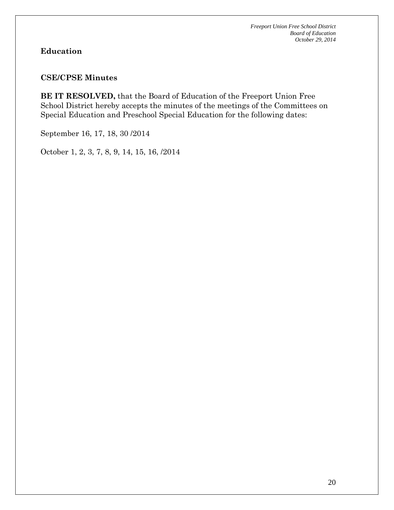# **Education**

#### **CSE/CPSE Minutes**

**BE IT RESOLVED,** that the Board of Education of the Freeport Union Free School District hereby accepts the minutes of the meetings of the Committees on Special Education and Preschool Special Education for the following dates:

September 16, 17, 18, 30 /2014

October 1, 2, 3, 7, 8, 9, 14, 15, 16, /2014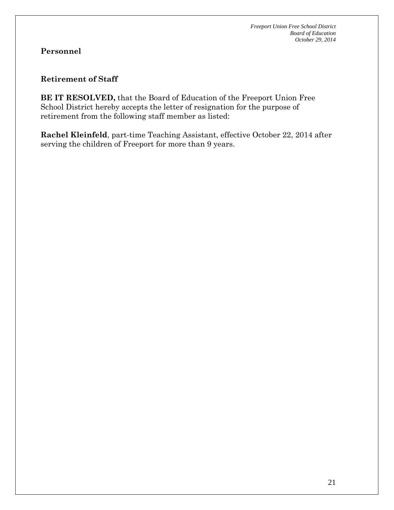#### **Retirement of Staff**

**BE IT RESOLVED,** that the Board of Education of the Freeport Union Free School District hereby accepts the letter of resignation for the purpose of retirement from the following staff member as listed:

**Rachel Kleinfeld**, part-time Teaching Assistant, effective October 22, 2014 after serving the children of Freeport for more than 9 years.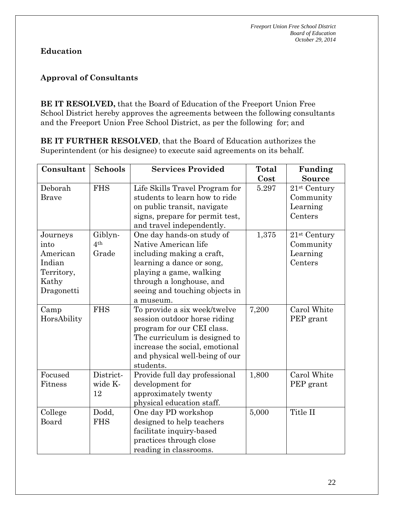# **Education**

## **Approval of Consultants**

**BE IT RESOLVED,** that the Board of Education of the Freeport Union Free School District hereby approves the agreements between the following consultants and the Freeport Union Free School District, as per the following for; and

**BE IT FURTHER RESOLVED**, that the Board of Education authorizes the Superintendent (or his designee) to execute said agreements on its behalf.

| Consultant                                                                  | <b>Schools</b>                      | <b>Services Provided</b>                                                                                                                                                                                          | <b>Total</b><br>Cost | Funding<br><b>Source</b>                                     |
|-----------------------------------------------------------------------------|-------------------------------------|-------------------------------------------------------------------------------------------------------------------------------------------------------------------------------------------------------------------|----------------------|--------------------------------------------------------------|
| Deborah<br><b>Brave</b>                                                     | <b>FHS</b>                          | Life Skills Travel Program for<br>students to learn how to ride<br>on public transit, navigate<br>signs, prepare for permit test,<br>and travel independently.                                                    | 5.297                | 21 <sup>st</sup> Century<br>Community<br>Learning<br>Centers |
| Journeys<br>into<br>American<br>Indian<br>Territory,<br>Kathy<br>Dragonetti | Giblyn-<br>4 <sup>th</sup><br>Grade | One day hands-on study of<br>Native American life<br>including making a craft,<br>learning a dance or song,<br>playing a game, walking<br>through a longhouse, and<br>seeing and touching objects in<br>a museum. | 1,375                | 21 <sup>st</sup> Century<br>Community<br>Learning<br>Centers |
| Camp<br>HorsAbility                                                         | <b>FHS</b>                          | To provide a six week/twelve<br>session outdoor horse riding<br>program for our CEI class.<br>The curriculum is designed to<br>increase the social, emotional<br>and physical well-being of our<br>students.      | 7,200                | Carol White<br>PEP grant                                     |
| Focused<br>Fitness                                                          | District-<br>wide K-<br>12          | Provide full day professional<br>development for<br>approximately twenty<br>physical education staff.                                                                                                             | 1,800                | Carol White<br>PEP grant                                     |
| College<br>Board                                                            | Dodd,<br><b>FHS</b>                 | One day PD workshop<br>designed to help teachers<br>facilitate inquiry-based<br>practices through close<br>reading in classrooms.                                                                                 | 5,000                | Title II                                                     |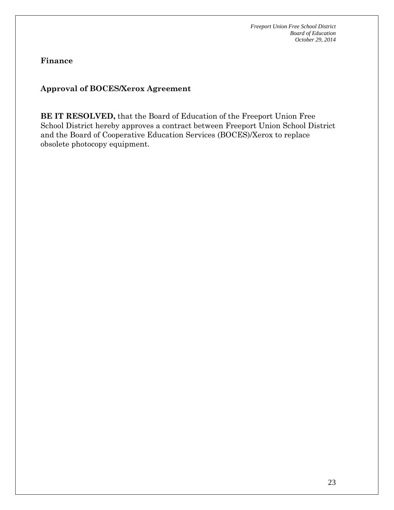**Finance**

## **Approval of BOCES/Xerox Agreement**

**BE IT RESOLVED,** that the Board of Education of the Freeport Union Free School District hereby approves a contract between Freeport Union School District and the Board of Cooperative Education Services (BOCES)/Xerox to replace obsolete photocopy equipment.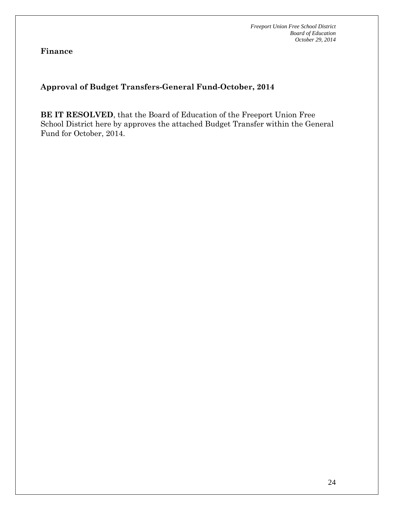**Finance**

## **Approval of Budget Transfers-General Fund-October, 2014**

**BE IT RESOLVED**, that the Board of Education of the Freeport Union Free School District here by approves the attached Budget Transfer within the General Fund for October, 2014.